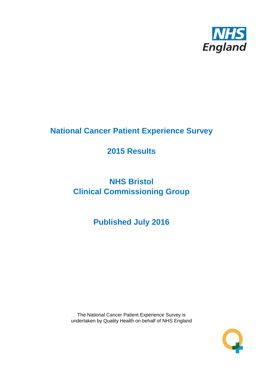

# **National Cancer Patient Experience Survey**

# **2015 Results**

# **NHS Bristol Clinical Commissioning Group**

# **Published July 2016**

The National Cancer Patient Experience Survey is undertaken by Quality Health on behalf of NHS England

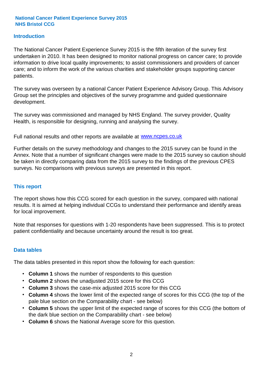#### **Introduction**

The National Cancer Patient Experience Survey 2015 is the fifth iteration of the survey first undertaken in 2010. It has been designed to monitor national progress on cancer care; to provide information to drive local quality improvements; to assist commissioners and providers of cancer care; and to inform the work of the various charities and stakeholder groups supporting cancer patients.

The survey was overseen by a national Cancer Patient Experience Advisory Group. This Advisory Group set the principles and objectives of the survey programme and guided questionnaire development.

The survey was commissioned and managed by NHS England. The survey provider, Quality Health, is responsible for designing, running and analysing the survey.

Full national results and other reports are available at www.ncpes.co.uk

Further details on the survey methodology and changes to the 2015 survey can be found in the Annex. Note that a number of significant changes were made to the 2015 survey so caution should be taken in directly comparing data from the 2015 survey to the findings of the previous CPES surveys. No comparisons with previous surveys are presented in this report.

#### **This report**

The report shows how this CCG scored for each question in the survey, compared with national results. It is aimed at helping individual CCGs to understand their performance and identify areas for local improvement.

Note that responses for questions with 1-20 respondents have been suppressed. This is to protect patient confidentiality and because uncertainty around the result is too great.

#### **Data tables**

The data tables presented in this report show the following for each question:

- **Column 1** shows the number of respondents to this question
- **Column 2** shows the unadjusted 2015 score for this CCG
- **Column 3** shows the case-mix adjusted 2015 score for this CCG
- **Column 4** shows the lower limit of the expected range of scores for this CCG (the top of the pale blue section on the Comparability chart - see below)
- **Column 5** shows the upper limit of the expected range of scores for this CCG (the bottom of the dark blue section on the Comparability chart - see below)
- **Column 6** shows the National Average score for this question.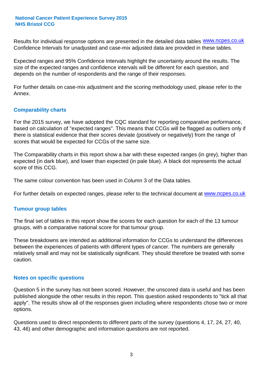Results for individual response options are presented in the detailed data tables **WWW.ncpes.co.uk** Confidence Intervals for unadjusted and case-mix adjusted data are provided in these tables.

Expected ranges and 95% Confidence Intervals highlight the uncertainty around the results. The size of the expected ranges and confidence intervals will be different for each question, and depends on the number of respondents and the range of their responses.

For further details on case-mix adjustment and the scoring methodology used, please refer to the Annex.

#### **Comparability charts**

For the 2015 survey, we have adopted the CQC standard for reporting comparative performance, based on calculation of "expected ranges". This means that CCGs will be flagged as outliers only if there is statistical evidence that their scores deviate (positively or negatively) from the range of scores that would be expected for CCGs of the same size.

The Comparability charts in this report show a bar with these expected ranges (in grey), higher than expected (in dark blue), and lower than expected (in pale blue). A black dot represents the actual score of this CCG.

The same colour convention has been used in Column 3 of the Data tables.

For further details on expected ranges, please refer to the technical document at **www.ncpes.co.uk** 

#### **Tumour group tables**

The final set of tables in this report show the scores for each question for each of the 13 tumour groups, with a comparative national score for that tumour group.

These breakdowns are intended as additional information for CCGs to understand the differences between the experiences of patients with different types of cancer. The numbers are generally relatively small and may not be statistically significant. They should therefore be treated with some caution.

#### **Notes on specific questions**

Question 5 in the survey has not been scored. However, the unscored data is useful and has been published alongside the other results in this report. This question asked respondents to "tick all that apply". The results show all of the responses given including where respondents chose two or more options.

Questions used to direct respondents to different parts of the survey (questions 4, 17, 24, 27, 40, 43, 46) and other demographic and information questions are not reported.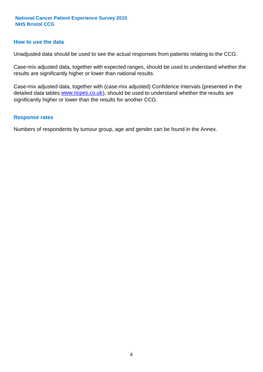#### **How to use the data**

Unadjusted data should be used to see the actual responses from patients relating to the CCG.

Case-mix adjusted data, together with expected ranges, should be used to understand whether the results are significantly higher or lower than national results.

Case-mix adjusted data, together with (case-mix adjusted) Confidence Intervals (presented in the detailed data tables **www.ncpes.co.uk**), should be used to understand whether the results are significantly higher or lower than the results for another CCG.

#### **Response rates**

Numbers of respondents by tumour group, age and gender can be found in the Annex.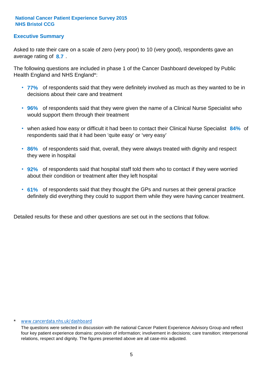#### **Executive Summary**

average rating of 8.7. Asked to rate their care on a scale of zero (very poor) to 10 (very good), respondents gave an

The following questions are included in phase 1 of the Cancer Dashboard developed by Public Health England and NHS England\*:

- **77%** of respondents said that they were definitely involved as much as they wanted to be in decisions about their care and treatment
- **96%** of respondents said that they were given the name of a Clinical Nurse Specialist who would support them through their treatment
- when asked how easy or difficult it had been to contact their Clinical Nurse Specialist 84% of respondents said that it had been 'quite easy' or 'very easy'
- **86%** of respondents said that, overall, they were always treated with dignity and respect they were in hospital
- **92%** of respondents said that hospital staff told them who to contact if they were worried about their condition or treatment after they left hospital
- **61%** of respondents said that they thought the GPs and nurses at their general practice definitely did everything they could to support them while they were having cancer treatment.

Detailed results for these and other questions are set out in the sections that follow.

#### \* www.cancerdata.nhs.uk/dashboard

The questions were selected in discussion with the national Cancer Patient Experience Advisory Group and reflect four key patient experience domains: provision of information; involvement in decisions; care transition; interpersonal relations, respect and dignity. The figures presented above are all case-mix adjusted.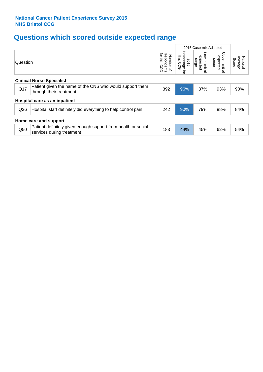# **Questions which scored outside expected range**

|                       |                                                                                            |                                             |                                        | 2015 Case-mix Adjusted                |                                                         |                              |  |  |
|-----------------------|--------------------------------------------------------------------------------------------|---------------------------------------------|----------------------------------------|---------------------------------------|---------------------------------------------------------|------------------------------|--|--|
| Question              |                                                                                            | for this<br>respondents<br>Number of<br>ဥ၀၁ | Percentage<br>this<br>2015<br>ccg<br>đ | Lower limit<br>expected<br>range<br>으 | Upper limit<br>expected<br>range<br>$\overline{\sigma}$ | Average<br>National<br>Score |  |  |
|                       | <b>Clinical Nurse Specialist</b>                                                           |                                             |                                        |                                       |                                                         |                              |  |  |
| Q17                   | Patient given the name of the CNS who would support them<br>through their treatment        | 392                                         | 96%                                    | 87%                                   | 93%                                                     | 90%                          |  |  |
|                       | Hospital care as an inpatient                                                              |                                             |                                        |                                       |                                                         |                              |  |  |
| Q36                   | Hospital staff definitely did everything to help control pain                              | 242                                         | 90%                                    | 79%                                   | 88%                                                     | 84%                          |  |  |
| Home care and support |                                                                                            |                                             |                                        |                                       |                                                         |                              |  |  |
| Q50                   | Patient definitely given enough support from health or social<br>services during treatment | 183                                         | 44%                                    | 45%                                   | 62%                                                     | 54%                          |  |  |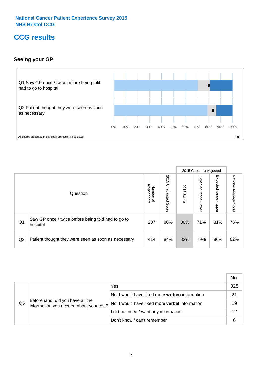### **CCG results**

#### **Seeing your GP**



|    |                                                                |                                                     |                             |               | 2015 Case-mix Adjusted     |                            |                           |
|----|----------------------------------------------------------------|-----------------------------------------------------|-----------------------------|---------------|----------------------------|----------------------------|---------------------------|
|    | Question                                                       | respondents<br><b>Number</b><br>$\overline{\sigma}$ | 2015<br>Unadjusted<br>Score | 2015<br>Score | Expected<br>range<br>lower | Expected<br>range<br>nbber | National Average<br>Score |
| Q1 | Saw GP once / twice before being told had to go to<br>hospital | 287                                                 | 80%                         | 80%           | 71%                        | 81%                        | 76%                       |
| Q2 | Patient thought they were seen as soon as necessary            | 414                                                 | 84%                         | 83%           | 79%                        | 86%                        | 82%                       |

|    |                                                                             |                                                 | No. |
|----|-----------------------------------------------------------------------------|-------------------------------------------------|-----|
|    | Beforehand, did you have all the<br>information you needed about your test? | Yes                                             | 328 |
|    |                                                                             | No, I would have liked more written information | 21  |
| Q5 |                                                                             | No, I would have liked more verbal information  | 19  |
|    |                                                                             | I did not need / want any information           | 12  |
|    |                                                                             | Don't know / can't remember                     | 6   |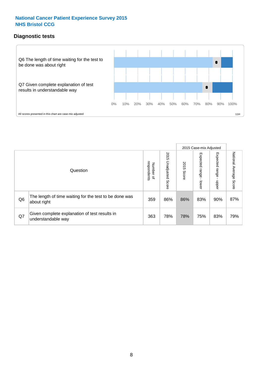#### **Diagnostic tests**



|                |                                                                       |                                   |                             |               | 2015 Case-mix Adjusted  |                         |                           |
|----------------|-----------------------------------------------------------------------|-----------------------------------|-----------------------------|---------------|-------------------------|-------------------------|---------------------------|
|                | Question                                                              | respondents<br>Number<br>$\Omega$ | 2015<br>Unadjusted<br>Score | 2015<br>Score | Expected range<br>lower | Expected range<br>nbber | National Average<br>Score |
| Q <sub>6</sub> | The length of time waiting for the test to be done was<br>about right | 359                               | 86%                         | 86%           | 83%                     | 90%                     | 87%                       |
| Q7             | Given complete explanation of test results in<br>understandable way   | 363                               | 78%                         | 78%           | 75%                     | 83%                     | 79%                       |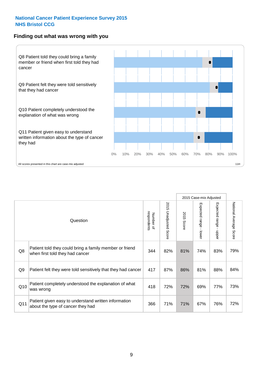#### **Finding out what was wrong with you**



|                |                                                                                            |                          |                             |               | 2015 Case-mix Adjusted                            |                        |                           |
|----------------|--------------------------------------------------------------------------------------------|--------------------------|-----------------------------|---------------|---------------------------------------------------|------------------------|---------------------------|
|                | Question                                                                                   | respondents<br>Number of | 2015<br>Unadjusted<br>Score | 2015<br>Score | Expected<br><b>range</b><br>$\mathbf{L}$<br>lower | Expected range - upper | National Average<br>Score |
| Q8             | Patient told they could bring a family member or friend<br>when first told they had cancer | 344                      | 82%                         | 81%           | 74%                                               | 83%                    | 79%                       |
| Q <sub>9</sub> | Patient felt they were told sensitively that they had cancer                               | 417                      | 87%                         | 86%           | 81%                                               | 88%                    | 84%                       |
| Q10            | Patient completely understood the explanation of what<br>was wrong                         | 418                      | 72%                         | 72%           | 69%                                               | 77%                    | 73%                       |
| Q11            | Patient given easy to understand written information<br>about the type of cancer they had  | 366                      | 71%                         | 71%           | 67%                                               | 76%                    | 72%                       |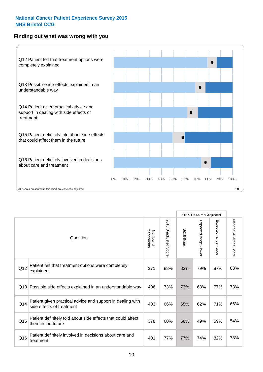#### **Finding out what was wrong with you**



|          |                                                                                         |                          |                       |               | 2015 Case-mix Adjusted                  |                           |                        |
|----------|-----------------------------------------------------------------------------------------|--------------------------|-----------------------|---------------|-----------------------------------------|---------------------------|------------------------|
| Question |                                                                                         | respondents<br>Number of | 2015 Unadjusted Score | 2015<br>Score | Expected range<br>$\mathbf{I}$<br>lower | Expected range -<br>nbber | National Average Score |
| Q12      | Patient felt that treatment options were completely<br>explained                        | 371                      | 83%                   | 83%           | 79%                                     | 87%                       | 83%                    |
| Q13      | Possible side effects explained in an understandable way                                | 406                      | 73%                   | 73%           | 68%                                     | 77%                       | 73%                    |
| Q14      | Patient given practical advice and support in dealing with<br>side effects of treatment | 403                      | 66%                   | 65%           | 62%                                     | 71%                       | 66%                    |
| Q15      | Patient definitely told about side effects that could affect<br>them in the future      | 378                      | 60%                   | 58%           | 49%                                     | 59%                       | 54%                    |
| Q16      | Patient definitely involved in decisions about care and<br>treatment                    | 401                      | 77%                   | 77%           | 74%                                     | 82%                       | 78%                    |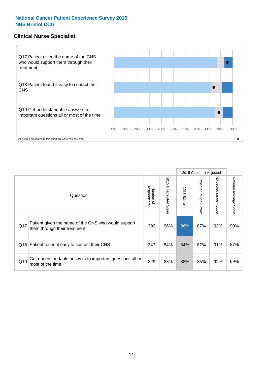#### **Clinical Nurse Specialist**



|     |                                                                                     |                          |                       |               | 2015 Case-mix Adjusted  |                         |                        |
|-----|-------------------------------------------------------------------------------------|--------------------------|-----------------------|---------------|-------------------------|-------------------------|------------------------|
|     | Question                                                                            | Number of<br>respondents | 2015 Unadjusted Score | 2015<br>Score | Expected range<br>lower | Expected range<br>nbber | National Average Score |
| Q17 | Patient given the name of the CNS who would support<br>them through their treatment | 392                      | 96%                   | 96%           | 87%                     | 93%                     | 90%                    |
| Q18 | Patient found it easy to contact their CNS                                          | 347                      | 84%                   | 84%           | 82%                     | 91%                     | 87%                    |
| Q19 | Get understandable answers to important questions all or<br>most of the time        | 329                      | 88%                   | 88%           | 85%                     | 92%                     | 89%                    |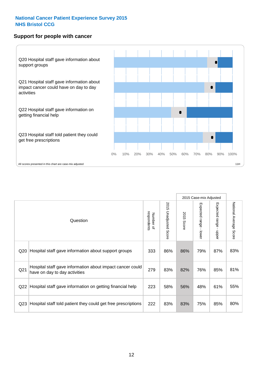#### **Support for people with cancer**



|                 |                                                                                            |                          |                                 |               | 2015 Case-mix Adjusted  |                           |                        |
|-----------------|--------------------------------------------------------------------------------------------|--------------------------|---------------------------------|---------------|-------------------------|---------------------------|------------------------|
|                 | Question                                                                                   | respondents<br>Number of | 2015<br><b>Unadjusted Score</b> | 2015<br>Score | Expected range<br>lower | Expected range<br>- nbber | National Average Score |
| Q20             | Hospital staff gave information about support groups                                       | 333                      | 86%                             | 86%           | 79%                     | 87%                       | 83%                    |
| Q <sub>21</sub> | Hospital staff gave information about impact cancer could<br>have on day to day activities | 279                      | 83%                             | 82%           | 76%                     | 85%                       | 81%                    |
| Q22             | Hospital staff gave information on getting financial help                                  | 223                      | 58%                             | 56%           | 48%                     | 61%                       | 55%                    |
| Q <sub>23</sub> | Hospital staff told patient they could get free prescriptions                              | 222                      | 83%                             | 83%           | 75%                     | 85%                       | 80%                    |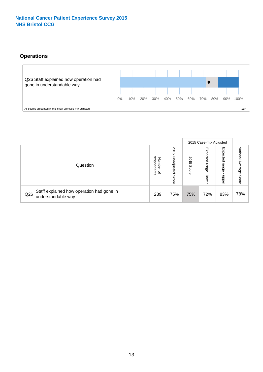#### **Operations**



|     |                                                                 |                                         |                             |               | 2015 Case-mix Adjusted     |                           |                              |
|-----|-----------------------------------------------------------------|-----------------------------------------|-----------------------------|---------------|----------------------------|---------------------------|------------------------------|
|     | Question                                                        | respondents<br>Number<br>$\overline{a}$ | 2015<br>Unadjusted<br>Score | 2015<br>Score | Expected<br>range<br>lower | Expected<br>range<br>ddoe | National<br>Average<br>Score |
| Q26 | Staff explained how operation had gone in<br>understandable way | 239                                     | 75%                         | 75%           | 72%                        | 83%                       | 78%                          |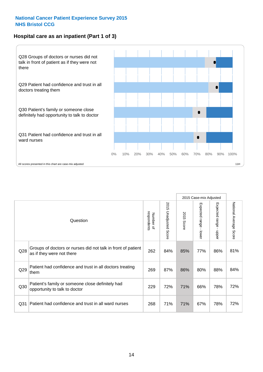#### **Hospital care as an inpatient (Part 1 of 3)**



All scores presented in this chart are case-mix adjusted  $11H$ 

|                 |                                                                                           |                          |                                 |                      | 2015 Case-mix Adjusted                    |                                         |                        |
|-----------------|-------------------------------------------------------------------------------------------|--------------------------|---------------------------------|----------------------|-------------------------------------------|-----------------------------------------|------------------------|
|                 | Question                                                                                  | respondents<br>Number of | 2015<br><b>Unadjusted Score</b> | 2015<br><b>Score</b> | Expected range<br>$\blacksquare$<br>lower | Expected range<br>$\mathbf{I}$<br>nbber | National Average Score |
| Q28             | Groups of doctors or nurses did not talk in front of patient<br>as if they were not there | 262                      | 84%                             | 85%                  | 77%                                       | 86%                                     | 81%                    |
| Q29             | Patient had confidence and trust in all doctors treating<br>them                          | 269                      | 87%                             | 86%                  | 80%                                       | 88%                                     | 84%                    |
| Q30             | Patient's family or someone close definitely had<br>opportunity to talk to doctor         | 229                      | 72%                             | 71%                  | 66%                                       | 78%                                     | 72%                    |
| Q <sub>31</sub> | Patient had confidence and trust in all ward nurses                                       | 268                      | 71%                             | 71%                  | 67%                                       | 78%                                     | 72%                    |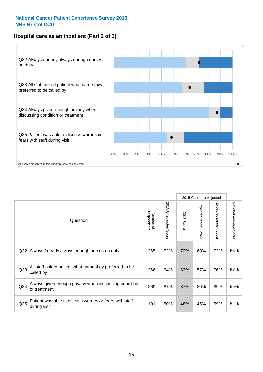#### **Hospital care as an inpatient (Part 2 of 3)**



|                 |                                                                         |                          |                                 |               | 2015 Case-mix Adjusted                  |                           |                        |
|-----------------|-------------------------------------------------------------------------|--------------------------|---------------------------------|---------------|-----------------------------------------|---------------------------|------------------------|
|                 | Question                                                                | respondents<br>Number of | 2015<br><b>Unadjusted Score</b> | 2015<br>Score | Expected range<br>$\mathbf{I}$<br>lower | Expected range -<br>nbber | National Average Score |
| Q32             | Always / nearly always enough nurses on duty                            | 265                      | 72%                             | 72%           | 60%                                     | 72%                       | 66%                    |
| Q <sub>33</sub> | All staff asked patient what name they preferred to be<br>called by     | 266                      | 64%                             | 63%           | 57%                                     | 76%                       | 67%                    |
| Q34             | Always given enough privacy when discussing condition<br>or treatment   | 269                      | 87%                             | 87%           | 80%                                     | 89%                       | 85%                    |
| Q <sub>35</sub> | Patient was able to discuss worries or fears with staff<br>during visit | 191                      | 50%                             | 48%           | 45%                                     | 59%                       | 52%                    |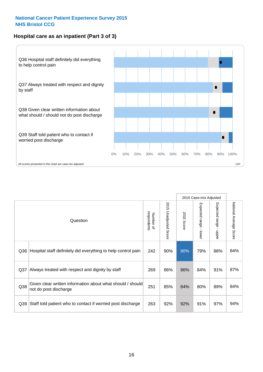#### **Hospital care as an inpatient (Part 3 of 3)**



|                 |                                                                                     |                          |                                 |               | 2015 Case-mix Adjusted                    |                                           |                        |
|-----------------|-------------------------------------------------------------------------------------|--------------------------|---------------------------------|---------------|-------------------------------------------|-------------------------------------------|------------------------|
|                 | Question                                                                            | respondents<br>Number of | 2015<br><b>Unadjusted Score</b> | 2015<br>Score | Expected range<br>$\blacksquare$<br>lower | Expected range<br>$\blacksquare$<br>nbber | National Average Score |
| Q36             | Hospital staff definitely did everything to help control pain                       | 242                      | 90%                             | 90%           | 79%                                       | 88%                                       | 84%                    |
| Q <sub>37</sub> | Always treated with respect and dignity by staff                                    | 269                      | 86%                             | 86%           | 84%                                       | 91%                                       | 87%                    |
| Q38             | Given clear written information about what should / should<br>not do post discharge | 251                      | 85%                             | 84%           | 80%                                       | 89%                                       | 84%                    |
| Q39             | Staff told patient who to contact if worried post discharge                         | 263                      | 92%                             | 92%           | 91%                                       | 97%                                       | 94%                    |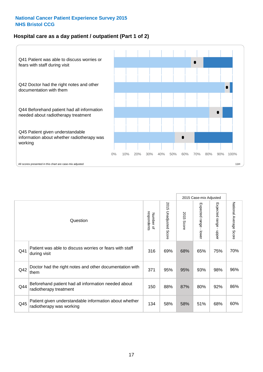#### **Hospital care as a day patient / outpatient (Part 1 of 2)**



|     |                                                                                    |                          |                          | 2015 Case-mix Adjusted |                                         |                                           |                        |
|-----|------------------------------------------------------------------------------------|--------------------------|--------------------------|------------------------|-----------------------------------------|-------------------------------------------|------------------------|
|     | Question                                                                           | respondents<br>Number of | 2015<br>Unadjusted Score | 2015<br>Score          | Expected range<br>$\mathbf{r}$<br>lower | Expected range<br>$\blacksquare$<br>nbber | National Average Score |
| Q41 | Patient was able to discuss worries or fears with staff<br>during visit            | 316                      | 69%                      | 68%                    | 65%                                     | 75%                                       | 70%                    |
| Q42 | Doctor had the right notes and other documentation with<br>them                    | 371                      | 95%                      | 95%                    | 93%                                     | 98%                                       | 96%                    |
| Q44 | Beforehand patient had all information needed about<br>radiotherapy treatment      | 150                      | 88%                      | 87%                    | 80%                                     | 92%                                       | 86%                    |
| Q45 | Patient given understandable information about whether<br>radiotherapy was working | 134                      | 58%                      | 58%                    | 51%                                     | 68%                                       | 60%                    |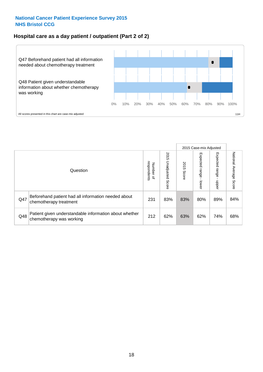#### **Hospital care as a day patient / outpatient (Part 2 of 2)**



|     |                                                                                    |                                       |                             | 2015 Case-mix Adjusted |                              |                         |                           |
|-----|------------------------------------------------------------------------------------|---------------------------------------|-----------------------------|------------------------|------------------------------|-------------------------|---------------------------|
|     | Question                                                                           | respondents<br>Number<br>$\mathbf{Q}$ | 2015<br>Unadjusted<br>Score | 2015<br>Score          | Expected<br>I range<br>lower | Expected range<br>doper | National Average<br>Score |
| Q47 | Beforehand patient had all information needed about<br>chemotherapy treatment      | 231                                   | 83%                         | 83%                    | 80%                          | 89%                     | 84%                       |
| Q48 | Patient given understandable information about whether<br>chemotherapy was working | 212                                   | 62%                         | 63%                    | 62%                          | 74%                     | 68%                       |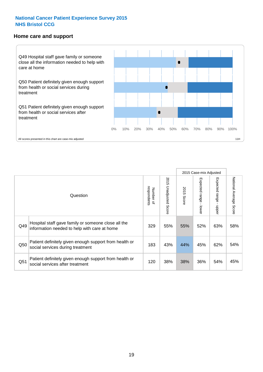#### **Home care and support**



All scores presented in this chart are case-mix adjusted

|                 |                                                                                                     |                          |                                 |               | 2015 Case-mix Adjusted  |                         |                        |
|-----------------|-----------------------------------------------------------------------------------------------------|--------------------------|---------------------------------|---------------|-------------------------|-------------------------|------------------------|
|                 | Question                                                                                            | respondents<br>Number of | 2015<br><b>Unadjusted Score</b> | 2015<br>Score | Expected range<br>lower | Expected range<br>nbbeu | National Average Score |
| Q49             | Hospital staff gave family or someone close all the<br>information needed to help with care at home | 329                      | 55%                             | 55%           | 52%                     | 63%                     | 58%                    |
| Q50             | Patient definitely given enough support from health or<br>social services during treatment          | 183                      | 43%                             | 44%           | 45%                     | 62%                     | 54%                    |
| Q <sub>51</sub> | Patient definitely given enough support from health or<br>social services after treatment           | 120                      | 38%                             | 38%           | 36%                     | 54%                     | 45%                    |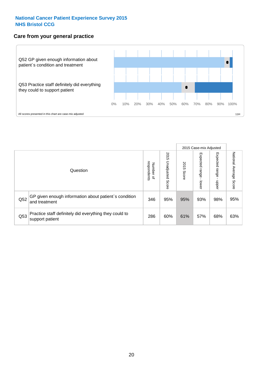#### **Care from your general practice**



|     |                                                                           |                                       |                             | 2015 Case-mix Adjusted |                             |                            |                           |
|-----|---------------------------------------------------------------------------|---------------------------------------|-----------------------------|------------------------|-----------------------------|----------------------------|---------------------------|
|     | Question                                                                  | respondents<br>Number<br>$\mathbf{Q}$ | 2015<br>Unadjusted<br>Score | 2015<br>Score          | Expected<br>Irange<br>lower | Expected<br>range<br>dpper | National Average<br>Score |
| Q52 | GP given enough information about patient's condition<br>and treatment    | 346                                   | 95%                         | 95%                    | 93%                         | 98%                        | 95%                       |
| Q53 | Practice staff definitely did everything they could to<br>support patient | 286                                   | 60%                         | 61%                    | 57%                         | 68%                        | 63%                       |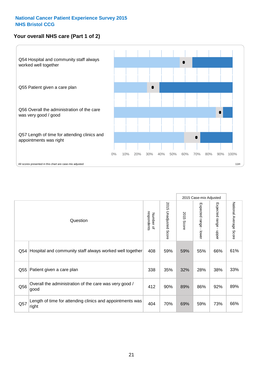#### **Your overall NHS care (Part 1 of 2)**



|     |                                                                    |                          |                          | 2015 Case-mix Adjusted |                                         |                                           |                        |
|-----|--------------------------------------------------------------------|--------------------------|--------------------------|------------------------|-----------------------------------------|-------------------------------------------|------------------------|
|     | Question                                                           | respondents<br>Number of | 2015<br>Unadjusted Score | 2015<br>Score          | Expected range<br>$\mathbf{I}$<br>lower | Expected range<br>$\blacksquare$<br>nbber | National Average Score |
| Q54 | Hospital and community staff always worked well together           | 408                      | 59%                      | 59%                    | 55%                                     | 66%                                       | 61%                    |
| Q55 | Patient given a care plan                                          | 338                      | 35%                      | 32%                    | 28%                                     | 38%                                       | 33%                    |
| Q56 | Overall the administration of the care was very good /<br>good     | 412                      | 90%                      | 89%                    | 86%                                     | 92%                                       | 89%                    |
| Q57 | Length of time for attending clinics and appointments was<br>right | 404                      | 70%                      | 69%                    | 59%                                     | 73%                                       | 66%                    |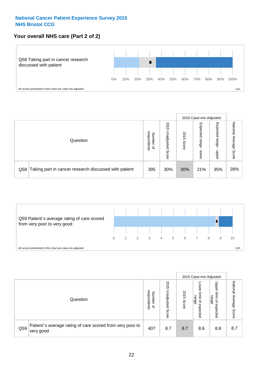#### **Your overall NHS care (Part 2 of 2)**



|     |                                                       |                                   |                             |               |                            | 2015 Case-mix Adjusted     |                        |
|-----|-------------------------------------------------------|-----------------------------------|-----------------------------|---------------|----------------------------|----------------------------|------------------------|
|     | Question                                              | respondents<br>Number<br>$\Omega$ | 2015<br>Unadjusted<br>Score | 2015<br>Score | Expected<br>range<br>lower | Expected<br>range<br>nbber | National Average Score |
| Q58 | Taking part in cancer research discussed with patient | 395                               | 30%                         | 30%           | 21%                        | 35%                        | 28%                    |



|     |                                                                        |                                   |                             |               |                                                           | 2015 Case-mix Adjusted                                |                              |
|-----|------------------------------------------------------------------------|-----------------------------------|-----------------------------|---------------|-----------------------------------------------------------|-------------------------------------------------------|------------------------------|
|     | Question                                                               | respondents<br>Number<br>$\Omega$ | 2015<br>Inadjusted<br>Score | 2015<br>Score | OWer<br>limit<br>range<br>$\overline{\sigma}$<br>expected | Upper<br>limit<br>range<br>$\overline{a}$<br>expected | National<br>Average<br>Score |
| Q59 | Patient's average rating of care scored from very poor to<br>very good | 407                               | 8.7                         | 8.7           | 8.6                                                       | 8.8                                                   | 8.7                          |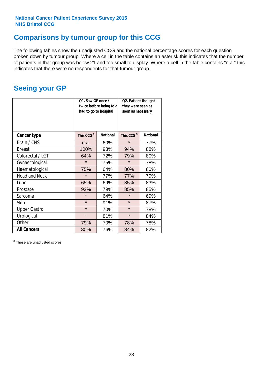### **Comparisons by tumour group for this CCG**

The following tables show the unadjusted CCG and the national percentage scores for each question broken down by tumour group. Where a cell in the table contains an asterisk this indicates that the number of patients in that group was below 21 and too small to display. Where a cell in the table contains "n.a." this indicates that there were no respondents for that tumour group.

### **Seeing your GP**

|                      | Q1. Saw GP once /<br>had to go to hospital | twice before being told | Q2. Patient thought<br>they were seen as<br>soon as necessary |                 |  |
|----------------------|--------------------------------------------|-------------------------|---------------------------------------------------------------|-----------------|--|
| <b>Cancer type</b>   | This CCG <sup>\$</sup>                     | <b>National</b>         | This CCG <sup>\$</sup>                                        | <b>National</b> |  |
| Brain / CNS          | n.a.                                       | 60%                     | $\star$                                                       | 77%             |  |
| <b>Breast</b>        | 100%                                       | 93%                     | 94%                                                           | 88%             |  |
| Colorectal / LGT     | 64%                                        | 72%                     | 79%                                                           | 80%             |  |
| Gynaecological       | $\star$                                    | 75%                     | $\star$                                                       | 78%             |  |
| Haematological       | 75%                                        | 64%                     | 80%                                                           | 80%             |  |
| <b>Head and Neck</b> | $\star$                                    | 77%                     | 77%                                                           | 79%             |  |
| Lung                 | 65%                                        | 69%                     | 85%                                                           | 83%             |  |
| Prostate             | 92%                                        | 79%                     | 85%                                                           | 85%             |  |
| Sarcoma              | $\star$                                    | 64%                     | $\star$                                                       | 69%             |  |
| Skin                 | $\star$                                    | 91%                     | $\star$                                                       | 87%             |  |
| <b>Upper Gastro</b>  | $\star$                                    | 70%                     | $\star$                                                       | 78%             |  |
| Urological           | $\star$                                    | 81%                     | $\star$                                                       | 84%             |  |
| Other                | 79%                                        | 70%                     | 78%                                                           | 78%             |  |
| <b>All Cancers</b>   | 80%                                        | 76%                     | 84%                                                           | 82%             |  |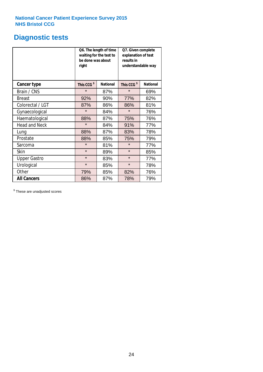### **Diagnostic tests**

|                      | be done was about<br>right | Q6. The length of time<br>waiting for the test to | Q7. Given complete<br>explanation of test<br>results in<br>understandable way |                 |  |
|----------------------|----------------------------|---------------------------------------------------|-------------------------------------------------------------------------------|-----------------|--|
| <b>Cancer type</b>   | This CCG <sup>\$</sup>     | <b>National</b>                                   | This CCG <sup>\$</sup>                                                        | <b>National</b> |  |
| Brain / CNS          | $\star$                    | 87%                                               | $\star$                                                                       | 69%             |  |
| <b>Breast</b>        | 92%                        | 90%                                               | 77%                                                                           | 82%             |  |
| Colorectal / LGT     | 87%                        | 86%                                               | 86%                                                                           | 81%             |  |
| Gynaecological       | $\star$                    | 84%                                               | $\star$                                                                       | 76%             |  |
| Haematological       | 88%                        | 87%                                               | 75%                                                                           | 76%             |  |
| <b>Head and Neck</b> | $\star$                    | 84%                                               | 91%                                                                           | 77%             |  |
| Lung                 | 88%                        | 87%                                               | 83%                                                                           | 78%             |  |
| Prostate             | 88%                        | 85%                                               | 75%                                                                           | 79%             |  |
| Sarcoma              | $\star$                    | 81%                                               | $\star$                                                                       | 77%             |  |
| Skin                 | $\star$                    | 89%                                               | $\star$                                                                       | 85%             |  |
| <b>Upper Gastro</b>  | $\star$                    | 83%                                               | $\star$                                                                       | 77%             |  |
| Urological           | $\star$                    | 85%                                               | $\star$                                                                       | 78%             |  |
| Other                | 79%<br>85%                 |                                                   | 82%                                                                           | 76%             |  |
| <b>All Cancers</b>   | 86%                        | 87%                                               | 78%                                                                           | 79%             |  |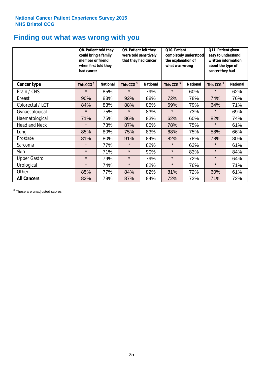### **Finding out what was wrong with you**

|                      | Q8. Patient told they<br>could bring a family<br>member or friend<br>when first told they<br>had cancer |                 | Q9. Patient felt they<br>were told sensitively<br>that they had cancer |                 | Q10. Patient<br>completely understood<br>the explanation of<br>what was wrong |                 | Q11. Patient given<br>easy to understand<br>written information<br>about the type of<br>cancer they had |                 |
|----------------------|---------------------------------------------------------------------------------------------------------|-----------------|------------------------------------------------------------------------|-----------------|-------------------------------------------------------------------------------|-----------------|---------------------------------------------------------------------------------------------------------|-----------------|
| <b>Cancer type</b>   | This CCG <sup>\$</sup>                                                                                  | <b>National</b> | This CCG <sup>\$</sup>                                                 | <b>National</b> | This CCG <sup>\$</sup>                                                        | <b>National</b> | This CCG <sup>\$</sup>                                                                                  | <b>National</b> |
| Brain / CNS          | $\star$                                                                                                 | 85%             | $\star$                                                                | 79%             | $\star$                                                                       | 60%             | $\star$                                                                                                 | 62%             |
| <b>Breast</b>        | 90%                                                                                                     | 83%             | 92%                                                                    | 88%             | 72%                                                                           | 78%             | 74%                                                                                                     | 76%             |
| Colorectal / LGT     | 84%                                                                                                     | 83%             | 88%                                                                    | 85%             | 69%                                                                           | 79%             | 64%                                                                                                     | 71%             |
| Gynaecological       | $\star$                                                                                                 | 75%             | $\star$                                                                | 83%             | $\star$                                                                       | 73%             | $\star$                                                                                                 | 69%             |
| Haematological       | 71%                                                                                                     | 75%             | 86%                                                                    | 83%             | 62%                                                                           | 60%             | 82%                                                                                                     | 74%             |
| <b>Head and Neck</b> | $\star$                                                                                                 | 73%             | 87%                                                                    | 85%             | 78%                                                                           | 75%             | $\star$                                                                                                 | 61%             |
| Lung                 | 85%                                                                                                     | 80%             | 75%                                                                    | 83%             | 68%                                                                           | 75%             | 58%                                                                                                     | 66%             |
| Prostate             | 81%                                                                                                     | 80%             | 91%                                                                    | 84%             | 82%                                                                           | 78%             | 78%                                                                                                     | 80%             |
| Sarcoma              | $\star$                                                                                                 | 77%             | $\star$                                                                | 82%             | $\star$                                                                       | 63%             | $\star$                                                                                                 | 61%             |
| Skin                 | $\star$                                                                                                 | 71%             | $\star$                                                                | 90%             | $\star$                                                                       | 83%             | $\star$                                                                                                 | 84%             |
| <b>Upper Gastro</b>  | $\star$                                                                                                 | 79%             | $\star$                                                                | 79%             | $\star$                                                                       | 72%             | $\star$                                                                                                 | 64%             |
| Urological           | $\star$                                                                                                 | 74%             | $\star$                                                                | 82%             | $\star$                                                                       | 76%             | $\star$                                                                                                 | 71%             |
| Other                | 85%                                                                                                     | 77%             | 84%                                                                    | 82%             | 81%                                                                           | 72%             | 60%                                                                                                     | 61%             |
| <b>All Cancers</b>   | 82%                                                                                                     | 79%             | 87%                                                                    | 84%             | 72%                                                                           | 73%             | 71%                                                                                                     | 72%             |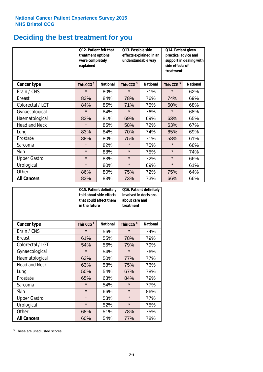# **Deciding the best treatment for you**

|                      | treatment options<br>were completely<br>explained | Q12. Patient felt that | Q13. Possible side<br>understandable way | effects explained in an | Q14. Patient given<br>practical advice and<br>support in dealing with<br>side effects of<br>treatment |                 |  |
|----------------------|---------------------------------------------------|------------------------|------------------------------------------|-------------------------|-------------------------------------------------------------------------------------------------------|-----------------|--|
| <b>Cancer type</b>   | This CCG <sup>\$</sup>                            | <b>National</b>        | This CCG <sup>\$</sup>                   | <b>National</b>         | This CCG <sup>\$</sup>                                                                                | <b>National</b> |  |
| Brain / CNS          | $\star$                                           | 80%                    | $\star$                                  | 71%                     | $\star$                                                                                               | 62%             |  |
| <b>Breast</b>        | 83%                                               | 84%                    | 78%                                      | 76%                     | 74%                                                                                                   | 69%             |  |
| Colorectal / LGT     | 84%                                               | 85%                    | 71%                                      | 75%                     | 60%                                                                                                   | 68%             |  |
| Gynaecological       | $\star$                                           | 84%                    | $\star$                                  | 76%                     | $\star$                                                                                               | 68%             |  |
| Haematological       | 83%                                               | 81%                    | 69%                                      | 69%                     | 63%                                                                                                   | 65%             |  |
| <b>Head and Neck</b> | $\star$                                           | 85%                    | 58%                                      | 72%                     | 63%                                                                                                   | 67%             |  |
| Lung                 | 83%                                               | 84%                    | 70%                                      | 74%                     | 65%                                                                                                   | 69%             |  |
| Prostate             | 88%                                               | 80%                    | 75%                                      | 71%                     | 58%                                                                                                   | 61%             |  |
| Sarcoma              | $\star$                                           | 82%                    | $\star$                                  | 75%                     | $\star$                                                                                               | 66%             |  |
| Skin                 | $\star$                                           | 88%                    | $\star$                                  | 75%                     | $\star$                                                                                               | 74%             |  |
| <b>Upper Gastro</b>  | $\star$                                           | 83%                    | $\star$                                  | 72%                     | $\star$                                                                                               | 66%             |  |
| Urological           | $\star$                                           | 80%                    | $\star$                                  | 69%                     | $\star$                                                                                               | 61%             |  |
| Other                | 86%                                               | 80%                    | 75%                                      | 72%                     | 75%                                                                                                   | 64%             |  |
| <b>All Cancers</b>   | 83%                                               | 83%                    | 73%                                      | 73%                     | 66%                                                                                                   | 66%             |  |

|                      | in the future          | Q15. Patient definitely<br>told about side effects<br>that could affect them | Q16. Patient definitely<br>involved in decisions<br>about care and<br>treatment |                 |  |
|----------------------|------------------------|------------------------------------------------------------------------------|---------------------------------------------------------------------------------|-----------------|--|
| <b>Cancer type</b>   | This CCG <sup>\$</sup> | <b>National</b>                                                              | This CCG <sup>\$</sup>                                                          | <b>National</b> |  |
| Brain / CNS          | $\star$                | 56%                                                                          | $\star$                                                                         | 74%             |  |
| <b>Breast</b>        | 61%                    | 55%                                                                          | 78%                                                                             | 79%             |  |
| Colorectal / LGT     | 54%                    | 56%                                                                          | 79%                                                                             | 79%             |  |
| Gynaecological       | $\star$                | 54%                                                                          |                                                                                 | 76%             |  |
| Haematological       | 63%                    | 50%                                                                          | 77%                                                                             | 77%             |  |
| <b>Head and Neck</b> | 63%                    | 58%                                                                          | 75%                                                                             | 76%             |  |
| Lung                 | 50%                    | 54%                                                                          | 67%                                                                             | 78%             |  |
| Prostate             | 65%                    | 63%                                                                          | 84%                                                                             | 79%             |  |
| Sarcoma              | $\star$                | 54%                                                                          | $\star$                                                                         | 77%             |  |
| Skin                 | $\star$                | 66%                                                                          | $\star$                                                                         | 86%             |  |
| <b>Upper Gastro</b>  | $\star$                | 53%                                                                          | $\star$                                                                         | 77%             |  |
| Urological           | $\star$                | 52%                                                                          | $\star$                                                                         | 75%             |  |
| Other                | 68%                    | 51%                                                                          | 78%                                                                             | 75%             |  |
| <b>All Cancers</b>   | 60%                    | 54%                                                                          | 77%                                                                             | 78%             |  |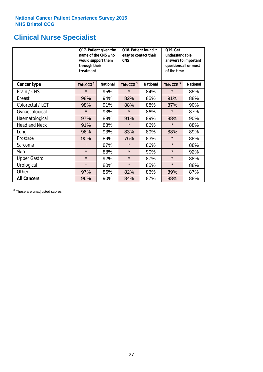# **Clinical Nurse Specialist**

|                      | would support them<br>through their<br>treatment | Q17. Patient given the<br>name of the CNS who | Q18. Patient found it<br>easy to contact their<br><b>CNS</b> |                 | <b>Q19. Get</b><br>understandable<br>answers to important<br>questions all or most<br>of the time |                 |
|----------------------|--------------------------------------------------|-----------------------------------------------|--------------------------------------------------------------|-----------------|---------------------------------------------------------------------------------------------------|-----------------|
| <b>Cancer type</b>   | This CCG <sup>\$</sup>                           | <b>National</b>                               | This CCG <sup>\$</sup>                                       | <b>National</b> | This CCG <sup>\$</sup>                                                                            | <b>National</b> |
| Brain / CNS          | $\star$                                          | 95%                                           | $\star$                                                      | 84%             | $\star$                                                                                           | 85%             |
| <b>Breast</b>        | 98%                                              | 94%                                           | 82%                                                          | 85%             | 91%                                                                                               | 88%             |
| Colorectal / LGT     | 98%                                              | 91%                                           | 88%                                                          | 88%             | 87%                                                                                               | 90%             |
| Gynaecological       | $\star$                                          | 93%                                           | $\star$                                                      | 86%             | $\star$                                                                                           | 87%             |
| Haematological       | 97%                                              | 89%                                           | 91%                                                          | 89%             | 88%                                                                                               | 90%             |
| <b>Head and Neck</b> | 91%                                              | 88%                                           | $\star$                                                      | 86%             | $\star$                                                                                           | 88%             |
| Lung                 | 96%                                              | 93%                                           | 83%                                                          | 89%             | 88%                                                                                               | 89%             |
| Prostate             | 90%                                              | 89%                                           | 76%                                                          | 83%             | $\star$                                                                                           | 88%             |
| Sarcoma              | $\star$                                          | 87%                                           | $\star$                                                      | 86%             | $\star$                                                                                           | 88%             |
| Skin                 | $\star$                                          | 88%                                           | $\star$                                                      | 90%             | $\star$                                                                                           | 92%             |
| <b>Upper Gastro</b>  | $\star$                                          | 92%                                           | $\star$                                                      | 87%             | $\star$                                                                                           | 88%             |
| Urological           | $\star$                                          | 80%                                           | $\star$                                                      | 85%             | $\star$                                                                                           | 88%             |
| Other                | 97%                                              | 86%                                           | 82%                                                          | 86%             | 89%                                                                                               | 87%             |
| <b>All Cancers</b>   | 96%                                              | 90%                                           | 84%                                                          | 87%             | 88%                                                                                               | 88%             |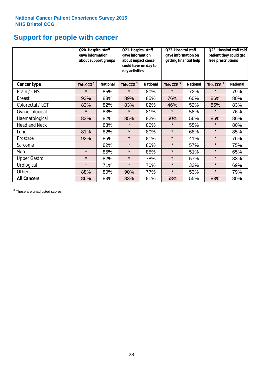# **Support for people with cancer**

|                      | Q20. Hospital staff<br>gave information | about support groups | Q21. Hospital staff<br>gave information<br>about impact cancer<br>could have on day to<br>day activities |                 | Q22. Hospital staff<br>gave information on<br>getting financial help |                 | Q23. Hospital staff told<br>patient they could get<br>free prescriptions |                 |
|----------------------|-----------------------------------------|----------------------|----------------------------------------------------------------------------------------------------------|-----------------|----------------------------------------------------------------------|-----------------|--------------------------------------------------------------------------|-----------------|
| <b>Cancer type</b>   | This CCG <sup>\$</sup>                  | <b>National</b>      | This CCG <sup>\$</sup>                                                                                   | <b>National</b> | This CCG <sup>\$</sup>                                               | <b>National</b> | This CCG <sup>\$</sup>                                                   | <b>National</b> |
| Brain / CNS          | $\star$                                 | 85%                  | $\star$                                                                                                  | 80%             | $\star$                                                              | 72%             | $\star$                                                                  | 79%             |
| <b>Breast</b>        | 93%                                     | 88%                  | 89%                                                                                                      | 85%             | 76%                                                                  | 60%             | 86%                                                                      | 80%             |
| Colorectal / LGT     | 82%                                     | 82%                  | 83%                                                                                                      | 82%             | 46%                                                                  | 52%             | 85%                                                                      | 83%             |
| Gynaecological       | $\star$                                 | 83%                  | $\star$                                                                                                  | 81%             | $\star$                                                              | 58%             | $\star$                                                                  | 76%             |
| Haematological       | 83%                                     | 82%                  | 85%                                                                                                      | 82%             | 50%                                                                  | 56%             | 86%                                                                      | 86%             |
| <b>Head and Neck</b> | $\star$                                 | 83%                  | $\star$                                                                                                  | 80%             | $\star$                                                              | 55%             | $\star$                                                                  | 80%             |
| Lung                 | 81%                                     | 82%                  | $\star$                                                                                                  | 80%             | $\star$                                                              | 68%             | $\star$                                                                  | 85%             |
| Prostate             | 92%                                     | 85%                  | $\star$                                                                                                  | 81%             | $\star$                                                              | 41%             | $\star$                                                                  | 76%             |
| Sarcoma              | $\star$                                 | 82%                  | $\star$                                                                                                  | 80%             | $\star$                                                              | 57%             | $\star$                                                                  | 75%             |
| Skin                 | $\star$                                 | 85%                  | $\star$                                                                                                  | 85%             | $\star$                                                              | 51%             | $\star$                                                                  | 65%             |
| <b>Upper Gastro</b>  | $\star$                                 | 82%                  | $\star$                                                                                                  | 78%             | $\star$                                                              | 57%             | $\star$                                                                  | 83%             |
| Urological           | $\star$                                 | 71%                  | $\star$                                                                                                  | 70%             | $\star$                                                              | 33%             | $\star$                                                                  | 69%             |
| Other                | 88%                                     | 80%                  | 90%                                                                                                      | 77%             | $\star$                                                              | 53%             | $\star$                                                                  | 79%             |
| <b>All Cancers</b>   | 86%                                     | 83%                  | 83%                                                                                                      | 81%             | 58%                                                                  | 55%             | 83%                                                                      | 80%             |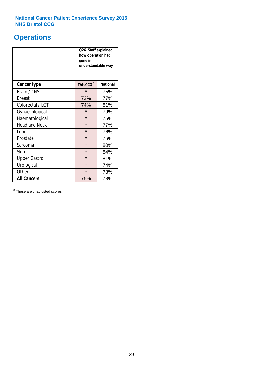### **Operations**

|                      | Q26. Staff explained<br>how operation had<br>gone in<br>understandable way |                 |  |  |  |
|----------------------|----------------------------------------------------------------------------|-----------------|--|--|--|
| <b>Cancer type</b>   | This CCG <sup>\$</sup>                                                     | <b>National</b> |  |  |  |
| Brain / CNS          | $\star$                                                                    | 75%             |  |  |  |
| <b>Breast</b>        | 72%                                                                        | 77%             |  |  |  |
| Colorectal / LGT     | 74%                                                                        | 81%             |  |  |  |
| Gynaecological       | $\star$                                                                    | 79%             |  |  |  |
| Haematological       | $\star$<br>75%                                                             |                 |  |  |  |
| <b>Head and Neck</b> | $\star$                                                                    | 77%             |  |  |  |
| Lung                 | $\star$                                                                    | 76%             |  |  |  |
| Prostate             | $\star$                                                                    | 76%             |  |  |  |
| Sarcoma              | $\star$                                                                    | 80%             |  |  |  |
| Skin                 | $\star$                                                                    | 84%             |  |  |  |
| <b>Upper Gastro</b>  | $\star$                                                                    | 81%             |  |  |  |
| Urological           | $\star$                                                                    | 74%             |  |  |  |
| Other                | $\star$<br>78%                                                             |                 |  |  |  |
| <b>All Cancers</b>   | 78%<br>75%                                                                 |                 |  |  |  |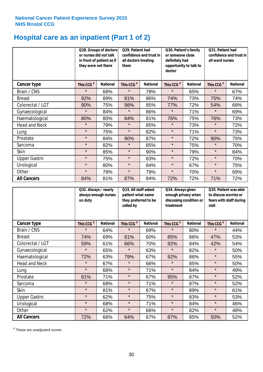# **Hospital care as an inpatient (Part 1 of 2)**

|                      | or nurses did not talk<br>they were not there | Q28. Groups of doctors<br>in front of patient as if | Q29. Patient had<br>confidence and trust in<br>all doctors treating<br>them |                 | Q30. Patient's family<br>or someone close<br>definitely had<br>opportunity to talk to<br>doctor |                 | Q31. Patient had<br>confidence and trust in<br>all ward nurses |                 |
|----------------------|-----------------------------------------------|-----------------------------------------------------|-----------------------------------------------------------------------------|-----------------|-------------------------------------------------------------------------------------------------|-----------------|----------------------------------------------------------------|-----------------|
| Cancer type          | This CCG <sup>\$</sup>                        | <b>National</b>                                     | This CCG <sup>\$</sup>                                                      | <b>National</b> | This CCG <sup>\$</sup>                                                                          | <b>National</b> | This CCG <sup>\$</sup>                                         | <b>National</b> |
| Brain / CNS          | $\star$                                       | 68%                                                 | $\star$                                                                     | 78%             | $\star$                                                                                         | 65%             | $\star$                                                        | 67%             |
| <b>Breast</b>        | 92%                                           | 89%                                                 | 81%                                                                         | 86%             | 74%                                                                                             | 73%             | 75%                                                            | 74%             |
| Colorectal / LGT     | 90%                                           | 75%                                                 | 98%                                                                         | 85%             | 77%                                                                                             | 72%             | 54%                                                            | 68%             |
| Gynaecological       | $\star$                                       | 84%                                                 | $\star$                                                                     | 86%             | $\star$                                                                                         | 71%             | $\star$                                                        | 69%             |
| Haematological       | 80%                                           | 80%                                                 | 84%                                                                         | 81%             | 76%                                                                                             | 75%             | 76%                                                            | 73%             |
| <b>Head and Neck</b> | $\star$                                       | 79%                                                 | $\star$                                                                     | 85%             | $\star$                                                                                         | 73%             | $\star$                                                        | 72%             |
| Lung                 | $\star$                                       | 75%                                                 | $\star$                                                                     | 82%             | $\star$                                                                                         | 71%             | $\star$                                                        | 73%             |
| Prostate             | $\star$                                       | 84%                                                 | 90%                                                                         | 87%             | $\star$                                                                                         | 72%             | 90%                                                            | 75%             |
| Sarcoma              | $\star$                                       | 82%                                                 | $\star$                                                                     | 85%             | $\star$                                                                                         | 75%             | $\star$                                                        | 70%             |
| Skin                 | $\star$                                       | 85%                                                 | $\star$                                                                     | 90%             | $\star$                                                                                         | 79%             | $\star$                                                        | 84%             |
| <b>Upper Gastro</b>  | $\star$                                       | 75%                                                 | $\star$                                                                     | 83%             | $\star$                                                                                         | 72%             | $\star$                                                        | 70%             |
| Urological           | $\star$                                       | 80%                                                 | $\star$                                                                     | 84%             | $\star$                                                                                         | 67%             | $\star$                                                        | 75%             |
| Other                | $\star$                                       | 79%                                                 | $\star$                                                                     | 79%             | $\star$                                                                                         | 70%             | $\star$                                                        | 69%             |
| <b>All Cancers</b>   | 84%                                           | 81%                                                 | 87%                                                                         | 84%             | 72%                                                                                             | 72%             | 71%                                                            | 72%             |

|                      | Q32. Always / nearly<br>on duty | Q33. All staff asked<br>always enough nurses<br>patient what name<br>they preferred to be<br>called by |                        | Q34. Always given<br>enough privacy when<br>discussing condition or<br>treatment |                        | Q35. Patient was able<br>to discuss worries or<br>fears with staff during<br>visit |                        |                 |
|----------------------|---------------------------------|--------------------------------------------------------------------------------------------------------|------------------------|----------------------------------------------------------------------------------|------------------------|------------------------------------------------------------------------------------|------------------------|-----------------|
| <b>Cancer type</b>   | This CCG <sup>\$</sup>          | <b>National</b>                                                                                        | This CCG <sup>\$</sup> | <b>National</b>                                                                  | This CCG <sup>\$</sup> | <b>National</b>                                                                    | This CCG <sup>\$</sup> | <b>National</b> |
| Brain / CNS          | $\star$                         | 64%                                                                                                    | $\star$                | 69%                                                                              | $\star$                | 80%                                                                                | $\star$                | 44%             |
| <b>Breast</b>        | 74%                             | 69%                                                                                                    | 61%                    | 60%                                                                              | 85%                    | 86%                                                                                | 47%                    | 53%             |
| Colorectal / LGT     | 59%                             | 61%                                                                                                    | 66%                    | 70%                                                                              | 92%                    | 84%                                                                                | 42%                    | 54%             |
| Gynaecological       | $\star$                         | 65%                                                                                                    | $\star$                | 63%                                                                              | $\star$                | 82%                                                                                | $\star$                | 50%             |
| Haematological       | 72%                             | 63%                                                                                                    | 79%                    | 67%                                                                              | 92%                    | 86%                                                                                | $\star$                | 55%             |
| <b>Head and Neck</b> | $\star$                         | 67%                                                                                                    | $\star$                | 66%                                                                              | $\star$                | 85%                                                                                | $\star$                | 50%             |
| Lung                 | $\star$                         | 68%                                                                                                    | $\star$                | 71%                                                                              | $\star$                | 84%                                                                                | $\star$                | 49%             |
| Prostate             | 81%                             | 71%                                                                                                    | $\star$                | 67%                                                                              | 95%                    | 87%                                                                                | $\star$                | 52%             |
| Sarcoma              | $\star$                         | 68%                                                                                                    | $\star$                | 71%                                                                              | $\star$                | 87%                                                                                | $\star$                | 52%             |
| Skin                 | $\star$                         | 81%                                                                                                    | $\star$                | 67%                                                                              | $\star$                | 89%                                                                                | $\star$                | 61%             |
| <b>Upper Gastro</b>  | $\star$                         | 62%                                                                                                    | $\star$                | 75%                                                                              | $\star$                | 83%                                                                                | $\star$                | 53%             |
| Urological           | $\star$                         | 68%                                                                                                    | $\star$                | 71%                                                                              | $\star$                | 84%                                                                                | $\star$                | 46%             |
| Other                | $\star$                         | 62%                                                                                                    | $\star$                | 66%                                                                              | $\star$                | 82%                                                                                | $\star$                | 48%             |
| <b>All Cancers</b>   | 72%                             | 66%                                                                                                    | 64%                    | 67%                                                                              | 87%                    | 85%                                                                                | 50%                    | 52%             |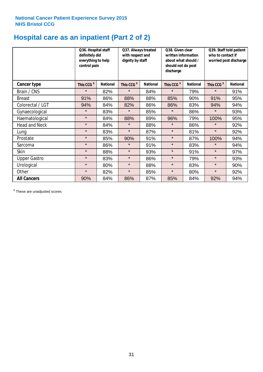# **Hospital care as an inpatient (Part 2 of 2)**

|                      | Q36. Hospital staff<br>definitely did<br>everything to help<br>control pain |                 | Q37. Always treated<br>with respect and<br>dignity by staff |                 | Q38. Given clear<br>written information<br>about what should /<br>should not do post<br>discharge |                 | Q39. Staff told patient<br>who to contact if<br>worried post discharge |                 |  |
|----------------------|-----------------------------------------------------------------------------|-----------------|-------------------------------------------------------------|-----------------|---------------------------------------------------------------------------------------------------|-----------------|------------------------------------------------------------------------|-----------------|--|
| Cancer type          | This CCG <sup>\$</sup>                                                      | <b>National</b> | This CCG <sup>\$</sup>                                      | <b>National</b> | This CCG <sup>\$</sup>                                                                            | <b>National</b> | This CCG <sup>\$</sup>                                                 | <b>National</b> |  |
| Brain / CNS          | $\star$                                                                     | 82%             | $\star$                                                     | 84%             | $\star$                                                                                           | 79%             | $\star$                                                                | 91%             |  |
| <b>Breast</b>        | 91%                                                                         | 86%             | 88%                                                         | 88%             | 85%                                                                                               | 90%             | 91%                                                                    | 95%             |  |
| Colorectal / LGT     | 94%                                                                         | 84%             | 82%                                                         | 86%             | 86%                                                                                               | 83%             | 94%                                                                    | 94%             |  |
| Gynaecological       | $\star$                                                                     | 83%             | $\star$                                                     | 85%             | $\star$                                                                                           | 86%             | $\star$                                                                | 93%             |  |
| Haematological       | $\star$                                                                     | 84%             | 88%                                                         | 89%             | 96%                                                                                               | 79%             | 100%                                                                   | 95%             |  |
| <b>Head and Neck</b> | $\star$                                                                     | 84%             | $\star$                                                     | 88%             | $\star$                                                                                           | 86%             | $\star$                                                                | 92%             |  |
| Lung                 | $\star$                                                                     | 83%             | $\star$                                                     | 87%             | $\star$                                                                                           | 81%             | $\star$                                                                | 92%             |  |
| Prostate             | $\star$                                                                     | 85%             | 90%                                                         | 91%             | $\star$                                                                                           | 87%             | 100%                                                                   | 94%             |  |
| Sarcoma              | $\star$                                                                     | 86%             | $\star$                                                     | 91%             | $\star$                                                                                           | 83%             | $\star$                                                                | 94%             |  |
| Skin                 | $\star$                                                                     | 88%             | $\star$                                                     | 93%             | $\star$                                                                                           | 91%             | $\star$                                                                | 97%             |  |
| <b>Upper Gastro</b>  | $\star$                                                                     | 83%             | $\star$                                                     | 86%             | $\star$                                                                                           | 79%             | $\star$                                                                | 93%             |  |
| Urological           | $\star$                                                                     | 80%             | $\star$                                                     | 88%             | $\star$                                                                                           | 83%             | $\star$                                                                | 90%             |  |
| Other                | $\star$                                                                     | 82%             | $\star$                                                     | 85%             | $\star$                                                                                           | 80%             | $\star$                                                                | 92%             |  |
| <b>All Cancers</b>   | 90%                                                                         | 84%             | 86%                                                         | 87%             | 85%                                                                                               | 84%             | 92%                                                                    | 94%             |  |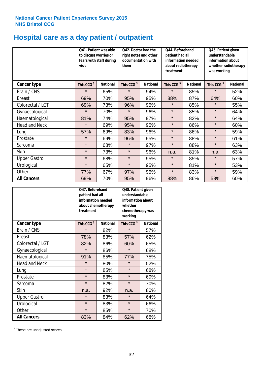# **Hospital care as a day patient / outpatient**

|                      | to discuss worries or<br>visit | Q41. Patient was able<br>fears with staff during | Q42. Doctor had the<br>right notes and other<br>documentation with<br>them |                 | Q44. Beforehand<br>patient had all<br>information needed<br>about radiotherapy<br>treatment |                 | Q45. Patient given<br>understandable<br>information about<br>whether radiotherapy<br>was working |                 |
|----------------------|--------------------------------|--------------------------------------------------|----------------------------------------------------------------------------|-----------------|---------------------------------------------------------------------------------------------|-----------------|--------------------------------------------------------------------------------------------------|-----------------|
| <b>Cancer type</b>   | This CCG <sup>\$</sup>         | <b>National</b>                                  | This CCG <sup>\$</sup>                                                     | <b>National</b> | This CCG <sup>\$</sup>                                                                      | <b>National</b> | This CCG <sup>\$</sup>                                                                           | <b>National</b> |
| Brain / CNS          | $\star$                        | 65%                                              | $\star$                                                                    | 94%             | $\star$                                                                                     | 85%             | $\star$                                                                                          | 52%             |
| <b>Breast</b>        | 69%                            | 70%                                              | 95%                                                                        | 95%             | 88%                                                                                         | 87%             | 64%                                                                                              | 60%             |
| Colorectal / LGT     | 69%                            | 73%                                              | 96%                                                                        | 95%             | $\star$                                                                                     | 85%             | $\star$                                                                                          | 55%             |
| Gynaecological       | $\star$                        | 70%                                              | $\star$                                                                    | 96%             | $\star$                                                                                     | 85%             | $\star$                                                                                          | 64%             |
| Haematological       | 81%                            | 74%                                              | 95%                                                                        | 97%             | $\star$                                                                                     | 82%             | $\star$                                                                                          | 64%             |
| <b>Head and Neck</b> | $\star$                        | 69%                                              | 95%                                                                        | 95%             | $\star$                                                                                     | 86%             | $\star$                                                                                          | 60%             |
| Lung                 | 57%                            | 69%                                              | 83%                                                                        | 96%             | $\star$                                                                                     | 86%             | $\star$                                                                                          | 59%             |
| Prostate             | $\star$                        | 69%                                              | 96%                                                                        | 95%             | $\star$                                                                                     | 88%             | $\star$                                                                                          | 61%             |
| Sarcoma              | $\star$                        | 68%                                              | $\star$                                                                    | 97%             | $\star$                                                                                     | 88%             | $\star$                                                                                          | 63%             |
| Skin                 | $\star$                        | 73%                                              | $\star$                                                                    | 96%             | n.a.                                                                                        | 81%             | n.a.                                                                                             | 63%             |
| <b>Upper Gastro</b>  | $\star$                        | 68%                                              | $\star$                                                                    | 95%             | $\star$                                                                                     | 85%             | $\star$                                                                                          | 57%             |
| Urological           | $\star$                        | 65%                                              | $\star$                                                                    | 95%             | $\star$                                                                                     | 81%             | $\star$                                                                                          | 53%             |
| Other                | 77%                            | 67%                                              | 97%                                                                        | 95%             | $\star$                                                                                     | 83%             | $\star$                                                                                          | 59%             |
| <b>All Cancers</b>   | 69%                            | 70%                                              | 95%                                                                        | 96%             | 88%                                                                                         | 86%             | 58%                                                                                              | 60%             |

|                      | Q47. Beforehand<br>patient had all<br>information needed<br>about chemotherapy<br>treatment |                 | Q48. Patient given<br>understandable<br>information about<br>whether<br>chemotherapy was<br>working |                 |  |
|----------------------|---------------------------------------------------------------------------------------------|-----------------|-----------------------------------------------------------------------------------------------------|-----------------|--|
| <b>Cancer type</b>   | This CCG <sup>\$</sup>                                                                      | <b>National</b> | This CCG <sup>\$</sup>                                                                              | <b>National</b> |  |
| Brain / CNS          | $\star$                                                                                     | 82%             | $\star$                                                                                             | 57%             |  |
| <b>Breast</b>        | 78%                                                                                         | 83%             | 57%                                                                                                 | 62%             |  |
| Colorectal / LGT     | 82%                                                                                         | 86%             | 60%                                                                                                 | 65%             |  |
| Gynaecological       | $\star$                                                                                     | 86%             | $\star$                                                                                             | 68%             |  |
| Haematological       | 91%<br>85%                                                                                  |                 | 77%                                                                                                 | 75%             |  |
| <b>Head and Neck</b> | $\star$                                                                                     | 80%             | $\star$                                                                                             | 52%             |  |
| Lung                 | $\star$                                                                                     | 85%             | $\star$                                                                                             | 68%             |  |
| Prostate             | $\star$                                                                                     | 83%             | $\star$                                                                                             | 69%             |  |
| Sarcoma              | $\star$                                                                                     | 82%             | $\star$                                                                                             | 70%             |  |
| <b>Skin</b>          | n.a.                                                                                        | 92%             | n.a.                                                                                                | 80%             |  |
| <b>Upper Gastro</b>  | $\star$                                                                                     | 83%             | $\star$                                                                                             | 64%             |  |
| Urological           | $\star$                                                                                     | 83%             | $\star$                                                                                             | 66%             |  |
| Other                | $\star$                                                                                     | 85%             | $\star$                                                                                             | 70%             |  |
| <b>All Cancers</b>   | 83%                                                                                         | 84%             | 62%                                                                                                 | 68%             |  |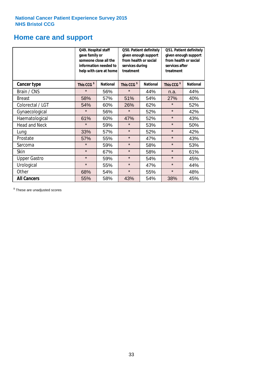### **Home care and support**

|                      | Q49. Hospital staff<br>gave family or | someone close all the<br>information needed to<br>help with care at home | Q50. Patient definitely<br>given enough support<br>from health or social<br>services during<br>treatment |                 | Q51. Patient definitely<br>given enough support<br>from health or social<br>services after<br>treatment |                 |
|----------------------|---------------------------------------|--------------------------------------------------------------------------|----------------------------------------------------------------------------------------------------------|-----------------|---------------------------------------------------------------------------------------------------------|-----------------|
| <b>Cancer type</b>   | This CCG <sup>\$</sup>                | <b>National</b><br>This CCG <sup>\$</sup>                                |                                                                                                          | <b>National</b> | This CCG <sup>\$</sup>                                                                                  | <b>National</b> |
| Brain / CNS          | $\star$                               | 56%                                                                      | $\star$                                                                                                  | 44%             | n.a.                                                                                                    | 44%             |
| <b>Breast</b>        | 58%                                   | 57%                                                                      | 51%                                                                                                      | 54%             | 27%                                                                                                     | 40%             |
| Colorectal / LGT     | 54%                                   | 60%                                                                      | 26%                                                                                                      | 62%             | $\star$                                                                                                 | 52%             |
| Gynaecological       | $\star$                               | 56%                                                                      | $\star$                                                                                                  | 52%             | $\star$                                                                                                 | 42%             |
| Haematological       | 61%                                   | 60%                                                                      | 47%                                                                                                      | 52%             | $\star$                                                                                                 | 43%             |
| <b>Head and Neck</b> | $\star$                               | 59%                                                                      | $\star$                                                                                                  | 53%             | $\star$                                                                                                 | 50%             |
| Lung                 | 33%                                   | 57%                                                                      | $\star$                                                                                                  | 52%             | $\star$                                                                                                 | 42%             |
| Prostate             | 57%                                   | 55%                                                                      | $\star$                                                                                                  | 47%             | $\star$                                                                                                 | 43%             |
| Sarcoma              | $\star$                               | 59%                                                                      | $\star$                                                                                                  | 58%             | $\star$                                                                                                 | 53%             |
| Skin                 | $\star$                               | 67%                                                                      | $\star$                                                                                                  | 58%             | $\star$                                                                                                 | 61%             |
| <b>Upper Gastro</b>  | $\star$                               | 59%                                                                      | $\star$                                                                                                  | 54%             | $\star$                                                                                                 | 45%             |
| Urological           | $\star$                               | 55%                                                                      | $\star$                                                                                                  | 47%             | $\star$                                                                                                 | 44%             |
| Other                | 68%                                   | 54%                                                                      | $\star$                                                                                                  | 55%             | $\star$                                                                                                 | 48%             |
| <b>All Cancers</b>   | 55%                                   | 58%                                                                      | 43%                                                                                                      | 54%             | 38%                                                                                                     | 45%             |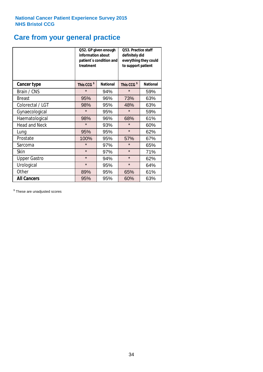# **Care from your general practice**

|                      | information about<br>treatment | Q52. GP given enough<br>patient's condition and | O53. Practice staff<br>definitely did<br>everything they could<br>to support patient |                 |  |
|----------------------|--------------------------------|-------------------------------------------------|--------------------------------------------------------------------------------------|-----------------|--|
| <b>Cancer type</b>   | This CCG <sup>\$</sup>         | <b>National</b>                                 | This CCG <sup>\$</sup>                                                               | <b>National</b> |  |
| Brain / CNS          | $\star$                        | 94%                                             | $\star$                                                                              | 59%             |  |
| <b>Breast</b>        | 95%                            | 96%                                             | 73%                                                                                  | 63%             |  |
| Colorectal / LGT     | 98%                            | 95%                                             | 48%                                                                                  | 63%             |  |
| Gynaecological       | $\star$<br>95%                 |                                                 | $\star$                                                                              | 59%             |  |
| Haematological       | 98%                            | 96%                                             | 68%                                                                                  | 61%             |  |
| <b>Head and Neck</b> | $\star$                        | 93%                                             | $\star$                                                                              | 60%             |  |
| Lung                 | 95%                            | 95%                                             | $\star$                                                                              | 62%             |  |
| Prostate             | 100%                           | 95%                                             | 57%                                                                                  | 67%             |  |
| Sarcoma              | $\star$                        | 97%                                             | $\star$                                                                              | 65%             |  |
| Skin                 | $\star$                        | 97%                                             | $\star$                                                                              | 71%             |  |
| <b>Upper Gastro</b>  | $\star$                        | 94%                                             | $\star$                                                                              | 62%             |  |
| Urological           | $\star$                        | 95%                                             | $\star$                                                                              | 64%             |  |
| Other                | 89%                            | 95%                                             | 65%                                                                                  | 61%             |  |
| <b>All Cancers</b>   | 95%                            | 95%                                             | 60%                                                                                  | 63%             |  |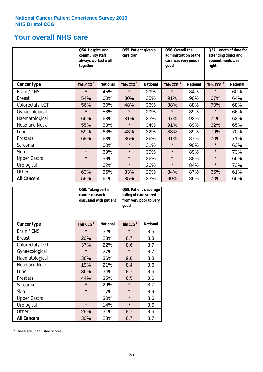### **Your overall NHS care**

|                      | together               | Q54. Hospital and<br>community staff<br>always worked well |                        | Q55. Patient given a<br>care plan<br>good |                        | Q56. Overall the<br>administration of the<br>care was very good / |                        | Q57. Length of time for<br>attending clinics and<br>appointments was<br>right |  |
|----------------------|------------------------|------------------------------------------------------------|------------------------|-------------------------------------------|------------------------|-------------------------------------------------------------------|------------------------|-------------------------------------------------------------------------------|--|
| <b>Cancer type</b>   | This CCG <sup>\$</sup> | <b>National</b>                                            | This CCG <sup>\$</sup> | <b>National</b>                           | This CCG <sup>\$</sup> | <b>National</b>                                                   | This CCG <sup>\$</sup> | <b>National</b>                                                               |  |
| Brain / CNS          | $\star$                | 45%                                                        | $\star$                | 29%                                       | $\star$                | 84%                                                               | $\star$                | 60%                                                                           |  |
| <b>Breast</b>        | 54%                    | 60%                                                        | 30%                    | 35%                                       | 91%                    | 90%                                                               | 67%                    | 64%                                                                           |  |
| Colorectal / LGT     | 56%                    | 60%                                                        | 48%                    | 36%                                       | 88%                    | 88%                                                               | 70%                    | 68%                                                                           |  |
| Gynaecological       | $\star$                | 58%                                                        | $\star$                | 29%                                       | $\star$                | 89%                                                               | $\star$                | 66%                                                                           |  |
| Haematological       | 66%                    | 63%                                                        | 31%                    | 33%                                       | 97%                    | 92%                                                               | 71%                    | 62%                                                                           |  |
| <b>Head and Neck</b> | 55%                    | 58%                                                        | $\star$                | 34%                                       | 91%                    | 89%                                                               | 62%                    | 65%                                                                           |  |
| Lung                 | 59%                    | 63%                                                        | 48%                    | 32%                                       | 88%                    | 89%                                                               | 79%                    | 70%                                                                           |  |
| Prostate             | 68%                    | 63%                                                        | 36%                    | 36%                                       | 91%                    | 87%                                                               | 70%                    | 71%                                                                           |  |
| Sarcoma              | $\star$                | 60%                                                        | $\star$                | 31%                                       | $\star$                | 90%                                                               | $\star$                | 63%                                                                           |  |
| Skin                 | $\star$                | 69%                                                        | $\star$                | 39%                                       | $\star$                | 89%                                                               | $\star$                | 73%                                                                           |  |
| <b>Upper Gastro</b>  | $\star$                | 58%                                                        | $\star$                | 36%                                       | $\star$                | 88%                                                               | $\star$                | 66%                                                                           |  |
| Urological           | $\star$                | 62%                                                        | $\star$                | 26%                                       | $\star$                | 84%                                                               | $\star$                | 73%                                                                           |  |
| Other                | 63%                    | 56%                                                        | 33%                    | 29%                                       | 84%                    | 87%                                                               | 65%                    | 61%                                                                           |  |
| <b>All Cancers</b>   | 59%                    | 61%                                                        | 35%                    | 33%                                       | 90%                    | 89%                                                               | 70%                    | 66%                                                                           |  |

|                      | Q58. Taking part in<br>cancer research | discussed with patient | Q59. Patient's average<br>rating of care scored<br>from very poor to very<br>good |                 |  |
|----------------------|----------------------------------------|------------------------|-----------------------------------------------------------------------------------|-----------------|--|
| <b>Cancer type</b>   | This CCG <sup>\$</sup>                 | <b>National</b>        | This CCG <sup>\$</sup>                                                            | <b>National</b> |  |
| Brain / CNS          | $\star$                                | 32%                    | $\star$                                                                           | 8.5             |  |
| <b>Breast</b>        | 20%                                    | 28%                    | 8.7                                                                               | 8.8             |  |
| Colorectal / LGT     | 37%                                    | 22%                    | 8.6                                                                               | 8.7             |  |
| Gynaecological       | $\star$<br>27%                         |                        | $\star$                                                                           | 8.7             |  |
| Haematological       | 36%                                    | 36%                    | 9.0                                                                               | 8.8             |  |
| <b>Head and Neck</b> | 19%                                    | 21%                    | 8.4                                                                               | 8.6             |  |
| Lung                 | 36%                                    | 34%                    | 8.7                                                                               | 8.6             |  |
| Prostate             | 44%                                    | 35%                    | 8.5                                                                               | 8.6             |  |
| Sarcoma              | $\star$                                | 29%                    | $\star$                                                                           | 8.7             |  |
| <b>Skin</b>          | $\star$                                | 17%                    | $\star$                                                                           | 8.9             |  |
| <b>Upper Gastro</b>  | $\star$                                | 30%                    | $\star$                                                                           | 8.6             |  |
| Urological           | $\star$                                | 14%                    | $\star$                                                                           | 8.5             |  |
| Other                | 29%                                    | 31%                    | 8.7                                                                               | 8.6             |  |
| <b>All Cancers</b>   | 30%                                    | 28%                    | 8.7                                                                               | 8.7             |  |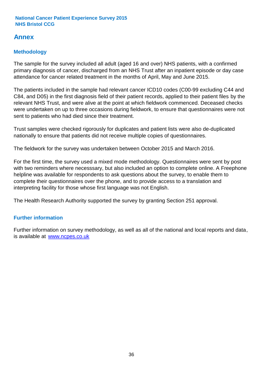### **Annex**

### **Methodology**

The sample for the survey included all adult (aged 16 and over) NHS patients, with a confirmed primary diagnosis of cancer, discharged from an NHS Trust after an inpatient episode or day case attendance for cancer related treatment in the months of April, May and June 2015.

The patients included in the sample had relevant cancer ICD10 codes (C00-99 excluding C44 and C84, and D05) in the first diagnosis field of their patient records, applied to their patient files by the relevant NHS Trust, and were alive at the point at which fieldwork commenced. Deceased checks were undertaken on up to three occasions during fieldwork, to ensure that questionnaires were not sent to patients who had died since their treatment.

Trust samples were checked rigorously for duplicates and patient lists were also de-duplicated nationally to ensure that patients did not receive multiple copies of questionnaires.

The fieldwork for the survey was undertaken between October 2015 and March 2016.

For the first time, the survey used a mixed mode methodology. Questionnaires were sent by post with two reminders where necesssary, but also included an option to complete online. A Freephone helpline was available for respondents to ask questions about the survey, to enable them to complete their questionnaires over the phone, and to provide access to a translation and interpreting facility for those whose first language was not English.

The Health Research Authority supported the survey by granting Section 251 approval.

#### **Further information**

Further information on survey methodology, as well as all of the national and local reports and data, is available at www.ncpes.co.uk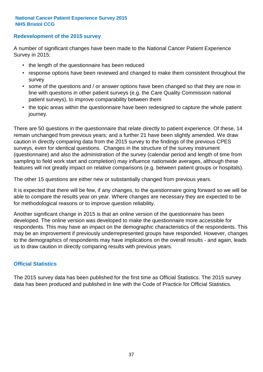#### **Redevelopment of the 2015 survey**

A number of significant changes have been made to the National Cancer Patient Experience Survey in 2015:

- the length of the questionnaire has been reduced
- response options have been reviewed and changed to make them consistent throughout the survey
- some of the questions and / or answer options have been changed so that they are now in line with questions in other patient surveys (e.g. the Care Quality Commission national patient surveys), to improve comparability between them
- the topic areas within the questionnaire have been redesigned to capture the whole patient journey.

There are 50 questions in the questionnaire that relate directly to patient experience. Of these, 14 remain unchanged from previous years; and a further 21 have been slightly amended. We draw caution in directly comparing data from the 2015 survey to the findings of the previous CPES surveys, even for identical questions. Changes in the structure of the survey instrument (questionnaire) and also the administration of the survey (calendar period and length of time from sampling to field work start and completion) may influence nationwide averages, although these features will not greatly impact on relative comparisons (e.g. between patient groups or hospitals).

The other 15 questions are either new or substantially changed from previous years.

It is expected that there will be few, if any changes, to the questionnaire going forward so we will be able to compare the results year on year. Where changes are necessary they are expected to be for methodological reasons or to improve question reliability.

Another significant change in 2015 is that an online version of the questionnaire has been developed. The online version was developed to make the questionnaire more accessible for respondents. This may have an impact on the demographic characteristics of the respondents. This may be an improvement if previously underrepresented groups have responded. However, changes to the demographics of respondents may have implications on the overall results - and again, leads us to draw caution in directly comparing results with previous years.

#### **Official Statistics**

The 2015 survey data has been published for the first time as Official Statistics. The 2015 survey data has been produced and published in line with the Code of Practice for Official Statistics.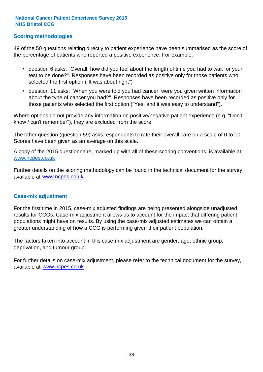#### **Scoring methodologies**

49 of the 50 questions relating directly to patient experience have been summarised as the score of the percentage of patients who reported a positive experience. For example:

- question 6 asks: "Overall, how did you feel about the length of time you had to wait for your test to be done?". Responses have been recorded as positive only for those patients who selected the first option ("It was about right")
- question 11 asks: "When you were told you had cancer, were you given written information about the type of cancer you had?". Responses have been recorded as positive only for those patients who selected the first option ("Yes, and it was easy to understand").

Where options do not provide any information on positive/negative patient experience (e.g. "Don't know / can't remember"), they are excluded from the score.

The other question (question 59) asks respondents to rate their overall care on a scale of 0 to 10. Scores have been given as an average on this scale.

A copy of the 2015 questionnaire, marked up with all of these scoring conventions, is available at www.ncpes.co.uk

Further details on the scoring methodology can be found in the technical document for the survey, available at <u>www.ncpes.co.uk</u>

#### **Case-mix adjustment**

For the first time in 2015, case-mix adjusted findings are being presented alongside unadjusted results for CCGs. Case-mix adjustment allows us to account for the impact that differing patient populations might have on results. By using the case-mix adjusted estimates we can obtain a greater understanding of how a CCG is performing given their patient population.

The factors taken into account in this case-mix adjustment are gender, age, ethnic group, deprivation, and tumour group.

For further details on case-mix adjustment, please refer to the technical document for the survey, available at www.ncpes.co.uk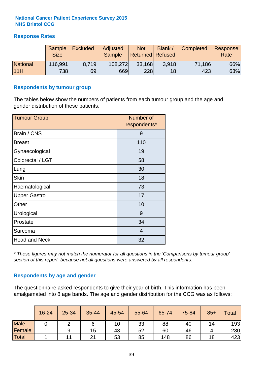#### **Response Rates**

|                 | Sample      | <b>Excluded</b> | Adjusted      | <b>Not</b>              | Blank /         | Completed | Response |
|-----------------|-------------|-----------------|---------------|-------------------------|-----------------|-----------|----------|
|                 | <b>Size</b> |                 | <b>Sample</b> | <b>Returned Refused</b> |                 |           | Rate     |
| <b>National</b> | 116,991     | 8.719           | 108,272       | 33,168                  | 3.918           | 71,186    | 66%      |
| 11H             | 738         | 69              | 669           | 228                     | 18 <sup>l</sup> | 423       | 63%      |

#### **Respondents by tumour group**

The tables below show the numbers of patients from each tumour group and the age and gender distribution of these patients.

| <b>Tumour Group</b>  | Number of<br>respondents* |  |  |
|----------------------|---------------------------|--|--|
| Brain / CNS          | 9                         |  |  |
| <b>Breast</b>        | 110                       |  |  |
| Gynaecological       | 19                        |  |  |
| Colorectal / LGT     | 58                        |  |  |
| Lung                 | 30                        |  |  |
| <b>Skin</b>          | 18                        |  |  |
| Haematological       | 73                        |  |  |
| <b>Upper Gastro</b>  | 17                        |  |  |
| Other                | 10                        |  |  |
| Urological           | 9                         |  |  |
| Prostate             | 34                        |  |  |
| Sarcoma              | $\overline{4}$            |  |  |
| <b>Head and Neck</b> | 32                        |  |  |

*\* These figures may not match the numerator for all questions in the 'Comparisons by tumour group' section of this report, because not all questions were answered by all respondents.*

#### **Respondents by age and gender**

The questionnaire asked respondents to give their year of birth. This information has been amalgamated into 8 age bands. The age and gender distribution for the CCG was as follows:

|             | 16-24 | 25-34 | 35-44 | 45-54 | 55-64 | 65-74 | 75-84 | $85+$ | <b>Total</b> |
|-------------|-------|-------|-------|-------|-------|-------|-------|-------|--------------|
| <b>Male</b> |       |       |       | 10    | 33    | 88    | 40    | 14    | 193          |
| Female      |       |       | 15    | 43    | 52    | 60    | 46    |       | 230          |
| Total       |       |       | 21    | 53    | 85    | 148   | 86    | 18    | 423          |